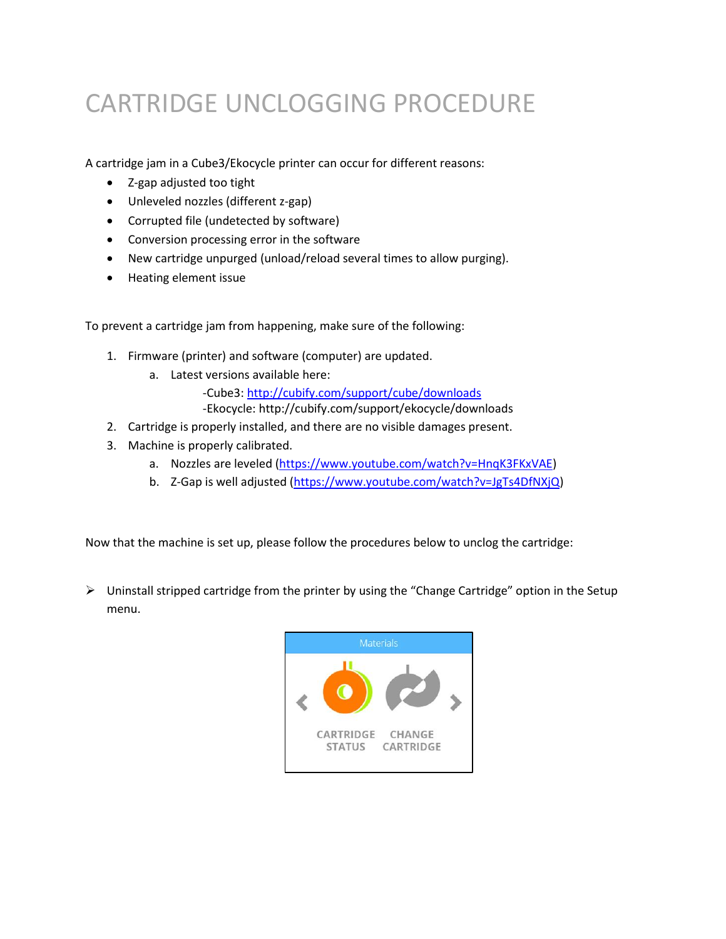## CARTRIDGE UNCLOGGING PROCEDURE

A cartridge jam in a Cube3/Ekocycle printer can occur for different reasons:

- Z-gap adjusted too tight
- Unleveled nozzles (different z-gap)
- Corrupted file (undetected by software)
- Conversion processing error in the software
- New cartridge unpurged (unload/reload several times to allow purging).
- Heating element issue

To prevent a cartridge jam from happening, make sure of the following:

- 1. Firmware (printer) and software (computer) are updated.
	- a. Latest versions available here:

-Cube3:<http://cubify.com/support/cube/downloads> -Ekocycle: http://cubify.com/support/ekocycle/downloads

- 2. Cartridge is properly installed, and there are no visible damages present.
- 3. Machine is properly calibrated.
	- a. Nozzles are leveled [\(https://www.youtube.com/watch?v=HnqK3FKxVAE\)](https://www.youtube.com/watch?v=HnqK3FKxVAE)
	- b. Z-Gap is well adjusted [\(https://www.youtube.com/watch?v=JgTs4DfNXjQ\)](https://www.youtube.com/watch?v=JgTs4DfNXjQ)

Now that the machine is set up, please follow the procedures below to unclog the cartridge:

 $\triangleright$  Uninstall stripped cartridge from the printer by using the "Change Cartridge" option in the Setup menu.

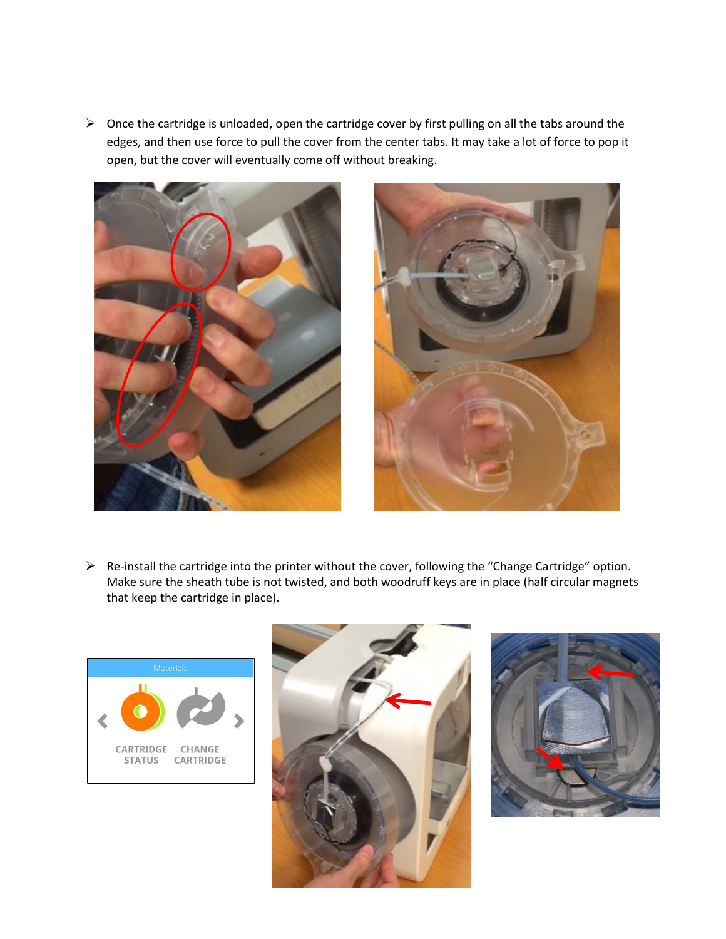$\triangleright$  Once the cartridge is unloaded, open the cartridge cover by first pulling on all the tabs around the edges, and then use force to pull the cover from the center tabs. It may take a lot of force to pop it open, but the cover will eventually come off without breaking.





 Re-install the cartridge into the printer without the cover, following the "Change Cartridge" option. Make sure the sheath tube is not twisted, and both woodruff keys are in place (half circular magnets that keep the cartridge in place).





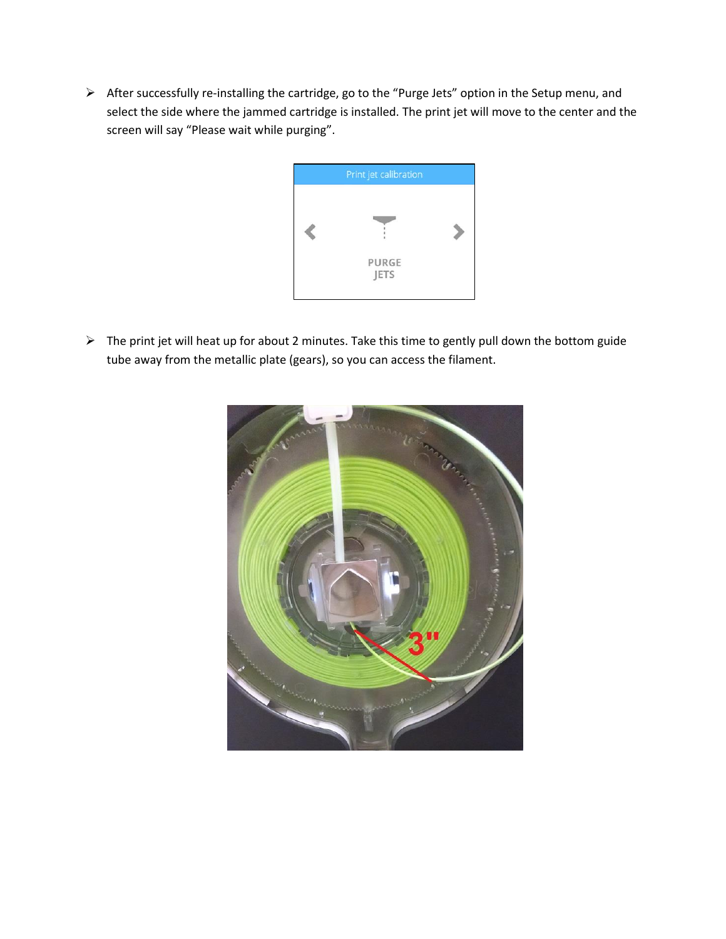After successfully re-installing the cartridge, go to the "Purge Jets" option in the Setup menu, and select the side where the jammed cartridge is installed. The print jet will move to the center and the screen will say "Please wait while purging".



 The print jet will heat up for about 2 minutes. Take this time to gently pull down the bottom guide tube away from the metallic plate (gears), so you can access the filament.

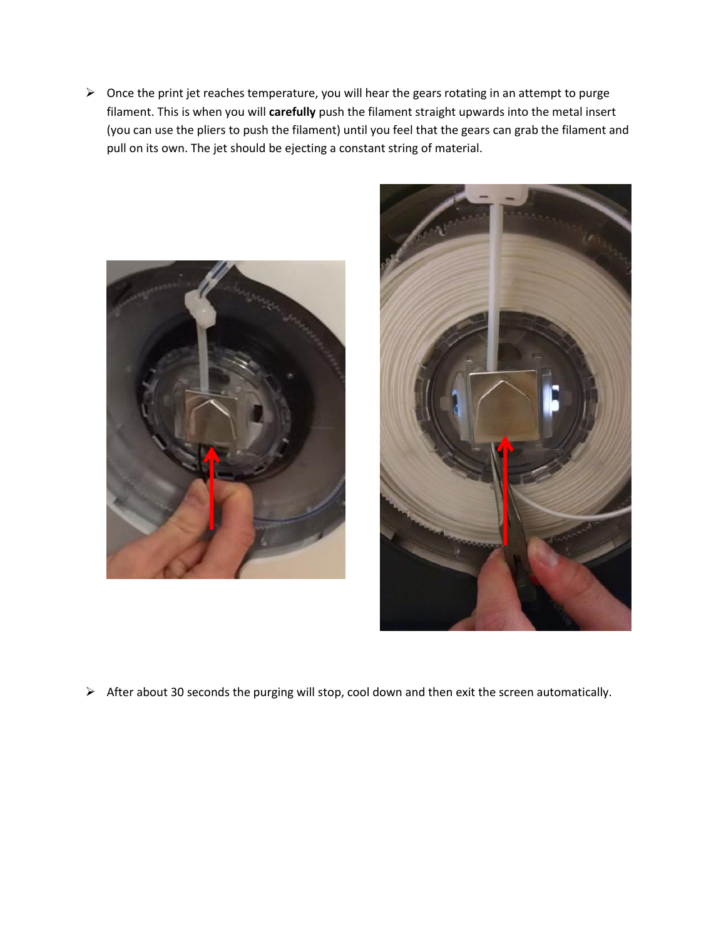$\triangleright$  Once the print jet reaches temperature, you will hear the gears rotating in an attempt to purge filament. This is when you will **carefully** push the filament straight upwards into the metal insert (you can use the pliers to push the filament) until you feel that the gears can grab the filament and pull on its own. The jet should be ejecting a constant string of material.





 $\triangleright$  After about 30 seconds the purging will stop, cool down and then exit the screen automatically.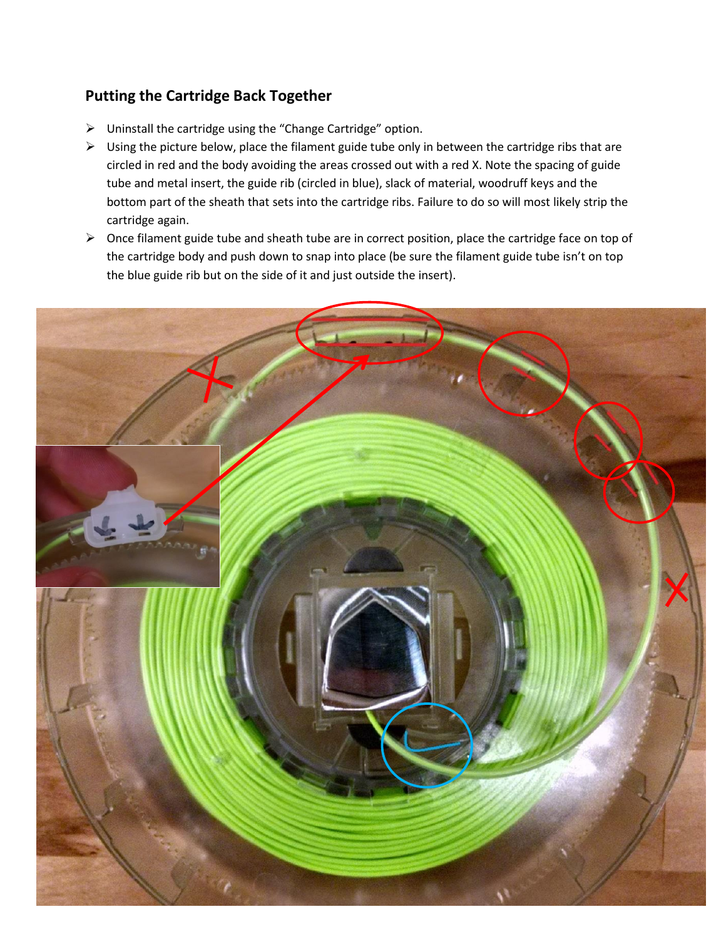## **Putting the Cartridge Back Together**

- Uninstall the cartridge using the "Change Cartridge" option.
- $\triangleright$  Using the picture below, place the filament guide tube only in between the cartridge ribs that are circled in red and the body avoiding the areas crossed out with a red X. Note the spacing of guide tube and metal insert, the guide rib (circled in blue), slack of material, woodruff keys and the bottom part of the sheath that sets into the cartridge ribs. Failure to do so will most likely strip the cartridge again.
- $\triangleright$  Once filament guide tube and sheath tube are in correct position, place the cartridge face on top of the cartridge body and push down to snap into place (be sure the filament guide tube isn't on top the blue guide rib but on the side of it and just outside the insert).